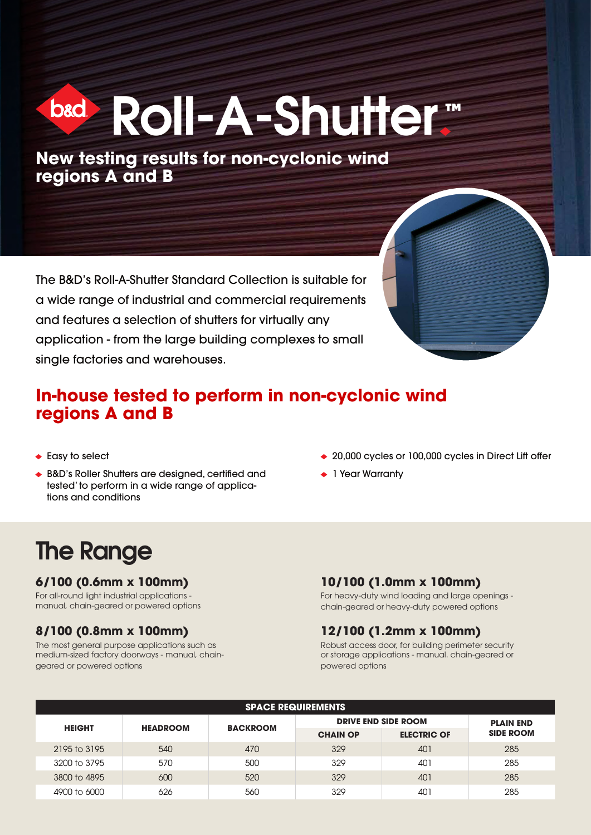# b&d Roll-A-Shutter™

**New testing results for non-cyclonic wind regions A and B**

The B&D's Roll-A-Shutter Standard Collection is suitable for a wide range of industrial and commercial requirements and features a selection of shutters for virtually any application - from the large building complexes to small single factories and warehouses.

#### **In-house tested to perform in non-cyclonic wind regions A and B**

- ◆ Easy to select
- B&D's Roller Shutters are designed, certified and tested' to perform in a wide range of applications and conditions
- ◆ 20,000 cycles or 100,000 cycles in Direct Lift offer
- ◆ 1 Year Warranty

### The Range

#### **6/100 (0.6mm x 100mm)**

For all-round light industrial applications manual, chain-geared or powered options

#### **8/100 (0.8mm x 100mm)**

The most general purpose applications such as medium-sized factory doorways - manual, chaingeared or powered options

#### **10/100 (1.0mm x 100mm)**

For heavy-duty wind loading and large openings chain-geared or heavy-duty powered options

#### **12/100 (1.2mm x 100mm)**

Robust access door, for building perimeter security or storage applications - manual. chain-geared or powered options

| <b>SPACE REQUIREMENTS</b> |                 |                 |                            |                    |                  |  |  |  |  |  |  |
|---------------------------|-----------------|-----------------|----------------------------|--------------------|------------------|--|--|--|--|--|--|
| <b>HEIGHT</b>             | <b>HEADROOM</b> | <b>BACKROOM</b> | <b>DRIVE END SIDE ROOM</b> | <b>PLAIN END</b>   |                  |  |  |  |  |  |  |
|                           |                 |                 | <b>CHAIN OP</b>            | <b>ELECTRIC OF</b> | <b>SIDE ROOM</b> |  |  |  |  |  |  |
| 2195 to 3195              | 540             | 470             | 329                        | 401                | 285              |  |  |  |  |  |  |
| 3200 to 3795              | 570             | 500             | 329                        | 401                | 285              |  |  |  |  |  |  |
| 3800 to 4895              | 600             | 520             | 329                        | 401                | 285              |  |  |  |  |  |  |
| 4900 to 6000              | 626             | 560             | 329                        | 401                | 285              |  |  |  |  |  |  |